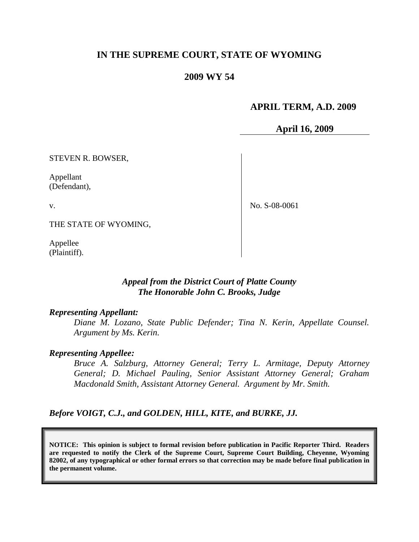# **IN THE SUPREME COURT, STATE OF WYOMING**

## **2009 WY 54**

## **APRIL TERM, A.D. 2009**

**April 16, 2009**

STEVEN R. BOWSER,

Appellant (Defendant),

v.

No. S-08-0061

THE STATE OF WYOMING,

Appellee (Plaintiff).

## *Appeal from the District Court of Platte County The Honorable John C. Brooks, Judge*

#### *Representing Appellant:*

*Diane M. Lozano, State Public Defender; Tina N. Kerin, Appellate Counsel. Argument by Ms. Kerin.*

#### *Representing Appellee:*

*Bruce A. Salzburg, Attorney General; Terry L. Armitage, Deputy Attorney General; D. Michael Pauling, Senior Assistant Attorney General; Graham Macdonald Smith, Assistant Attorney General. Argument by Mr. Smith.*

*Before VOIGT, C.J., and GOLDEN, HILL, KITE, and BURKE, JJ.*

**NOTICE: This opinion is subject to formal revision before publication in Pacific Reporter Third. Readers are requested to notify the Clerk of the Supreme Court, Supreme Court Building, Cheyenne, Wyoming 82002, of any typographical or other formal errors so that correction may be made before final publication in the permanent volume.**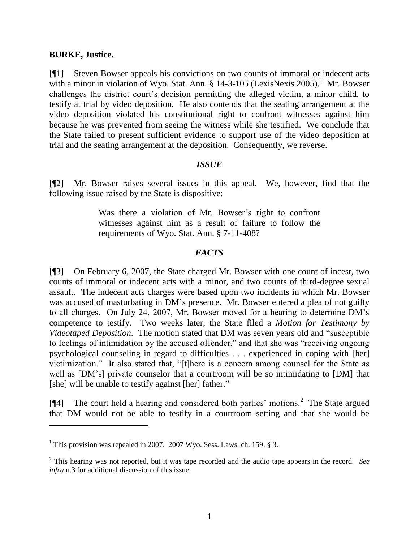### **BURKE, Justice.**

 $\overline{a}$ 

[¶1] Steven Bowser appeals his convictions on two counts of immoral or indecent acts with a minor in violation of Wyo. Stat. Ann.  $\S$  14-3-105 (LexisNexis 2005).<sup>1</sup> Mr. Bowser challenges the district court's decision permitting the alleged victim, a minor child, to testify at trial by video deposition. He also contends that the seating arrangement at the video deposition violated his constitutional right to confront witnesses against him because he was prevented from seeing the witness while she testified. We conclude that the State failed to present sufficient evidence to support use of the video deposition at trial and the seating arrangement at the deposition. Consequently, we reverse.

### *ISSUE*

[¶2] Mr. Bowser raises several issues in this appeal. We, however, find that the following issue raised by the State is dispositive:

> Was there a violation of Mr. Bowser's right to confront witnesses against him as a result of failure to follow the requirements of Wyo. Stat. Ann. § 7-11-408?

# *FACTS*

[¶3] On February 6, 2007, the State charged Mr. Bowser with one count of incest, two counts of immoral or indecent acts with a minor, and two counts of third-degree sexual assault. The indecent acts charges were based upon two incidents in which Mr. Bowser was accused of masturbating in DM's presence. Mr. Bowser entered a plea of not guilty to all charges. On July 24, 2007, Mr. Bowser moved for a hearing to determine DM's competence to testify. Two weeks later, the State filed a *Motion for Testimony by Videotaped Deposition*. The motion stated that DM was seven years old and "susceptible to feelings of intimidation by the accused offender," and that she was "receiving ongoing psychological counseling in regard to difficulties . . . experienced in coping with [her] victimization." It also stated that, "[t]here is a concern among counsel for the State as well as [DM's] private counselor that a courtroom will be so intimidating to [DM] that [she] will be unable to testify against [her] father."

 $[$ [4] The court held a hearing and considered both parties' motions.<sup>2</sup> The State argued that DM would not be able to testify in a courtroom setting and that she would be

<sup>&</sup>lt;sup>1</sup> This provision was repealed in 2007. 2007 Wyo. Sess. Laws, ch. 159,  $\S$  3.

<sup>2</sup> This hearing was not reported, but it was tape recorded and the audio tape appears in the record. *See infra* n[.3](#page-3-0) for additional discussion of this issue.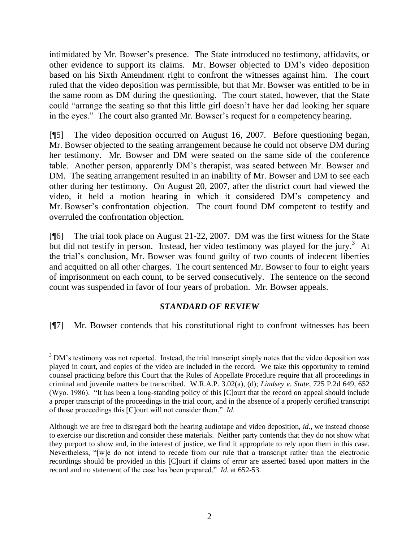intimidated by Mr. Bowser's presence. The State introduced no testimony, affidavits, or other evidence to support its claims. Mr. Bowser objected to DM's video deposition based on his Sixth Amendment right to confront the witnesses against him. The court ruled that the video deposition was permissible, but that Mr. Bowser was entitled to be in the same room as DM during the questioning. The court stated, however, that the State could "arrange the seating so that this little girl doesn't have her dad looking her square in the eyes." The court also granted Mr. Bowser's request for a competency hearing.

[¶5] The video deposition occurred on August 16, 2007. Before questioning began, Mr. Bowser objected to the seating arrangement because he could not observe DM during her testimony. Mr. Bowser and DM were seated on the same side of the conference table. Another person, apparently DM's therapist, was seated between Mr. Bowser and DM. The seating arrangement resulted in an inability of Mr. Bowser and DM to see each other during her testimony. On August 20, 2007, after the district court had viewed the video, it held a motion hearing in which it considered DM's competency and Mr. Bowser's confrontation objection. The court found DM competent to testify and overruled the confrontation objection.

[¶6] The trial took place on August 21-22, 2007. DM was the first witness for the State but did not testify in person. Instead, her video testimony was played for the jury.<sup>3</sup> At the trial's conclusion, Mr. Bowser was found guilty of two counts of indecent liberties and acquitted on all other charges. The court sentenced Mr. Bowser to four to eight years of imprisonment on each count, to be served consecutively. The sentence on the second count was suspended in favor of four years of probation. Mr. Bowser appeals.

# <span id="page-3-0"></span>*STANDARD OF REVIEW*

[¶7] Mr. Bowser contends that his constitutional right to confront witnesses has been

<sup>&</sup>lt;sup>3</sup> DM's testimony was not reported. Instead, the trial transcript simply notes that the video deposition was played in court, and copies of the video are included in the record. We take this opportunity to remind counsel practicing before this Court that the Rules of Appellate Procedure require that all proceedings in criminal and juvenile matters be transcribed. W.R.A.P. 3.02(a), (d); *Lindsey v. State*, 725 P.2d 649, 652 (Wyo. 1986). "It has been a long-standing policy of this [C]ourt that the record on appeal should include a proper transcript of the proceedings in the trial court, and in the absence of a properly certified transcript of those proceedings this [C]ourt will not consider them." *Id*.

Although we are free to disregard both the hearing audiotape and video deposition, *id.*, we instead choose to exercise our discretion and consider these materials. Neither party contends that they do not show what they purport to show and, in the interest of justice, we find it appropriate to rely upon them in this case. Nevertheless, "[w]e do not intend to recede from our rule that a transcript rather than the electronic recordings should be provided in this [C]ourt if claims of error are asserted based upon matters in the record and no statement of the case has been prepared." *Id.* at 652-53.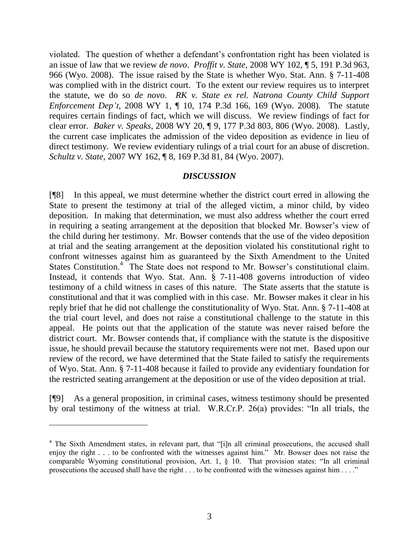violated. The question of whether a defendant's confrontation right has been violated is an issue of law that we review *de novo*. *Proffit v. State*, 2008 WY 102, ¶ 5, 191 P.3d 963, 966 (Wyo. 2008). The issue raised by the State is whether Wyo. Stat. Ann. § 7-11-408 was complied with in the district court. To the extent our review requires us to interpret the statute, we do so *de novo*. *RK v. State ex rel. Natrona County Child Support Enforcement Dep't*, 2008 WY 1, ¶ 10, 174 P.3d 166, 169 (Wyo. 2008). The statute requires certain findings of fact, which we will discuss. We review findings of fact for clear error. *Baker v. Speaks*, 2008 WY 20, ¶ 9, 177 P.3d 803, 806 (Wyo. 2008). Lastly, the current case implicates the admission of the video deposition as evidence in lieu of direct testimony. We review evidentiary rulings of a trial court for an abuse of discretion. *Schultz v. State*, 2007 WY 162, ¶ 8, 169 P.3d 81, 84 (Wyo. 2007).

### *DISCUSSION*

[¶8] In this appeal, we must determine whether the district court erred in allowing the State to present the testimony at trial of the alleged victim, a minor child, by video deposition. In making that determination, we must also address whether the court erred in requiring a seating arrangement at the deposition that blocked Mr. Bowser's view of the child during her testimony. Mr. Bowser contends that the use of the video deposition at trial and the seating arrangement at the deposition violated his constitutional right to confront witnesses against him as guaranteed by the Sixth Amendment to the United States Constitution.<sup>4</sup> The State does not respond to Mr. Bowser's constitutional claim. Instead, it contends that Wyo. Stat. Ann. § 7-11-408 governs introduction of video testimony of a child witness in cases of this nature. The State asserts that the statute is constitutional and that it was complied with in this case. Mr. Bowser makes it clear in his reply brief that he did not challenge the constitutionality of Wyo. Stat. Ann. § 7-11-408 at the trial court level, and does not raise a constitutional challenge to the statute in this appeal. He points out that the application of the statute was never raised before the district court. Mr. Bowser contends that, if compliance with the statute is the dispositive issue, he should prevail because the statutory requirements were not met. Based upon our review of the record, we have determined that the State failed to satisfy the requirements of Wyo. Stat. Ann. § 7-11-408 because it failed to provide any evidentiary foundation for the restricted seating arrangement at the deposition or use of the video deposition at trial.

[¶9] As a general proposition, in criminal cases, witness testimony should be presented by oral testimony of the witness at trial. W.R.Cr.P. 26(a) provides: "In all trials, the

 $\overline{a}$ 

<sup>&</sup>lt;sup>4</sup> The Sixth Amendment states, in relevant part, that "[i]n all criminal prosecutions, the accused shall enjoy the right . . . to be confronted with the witnesses against him." Mr. Bowser does not raise the comparable Wyoming constitutional provision, Art. 1, § 10. That provision states: "In all criminal prosecutions the accused shall have the right . . . to be confronted with the witnesses against him . . . ."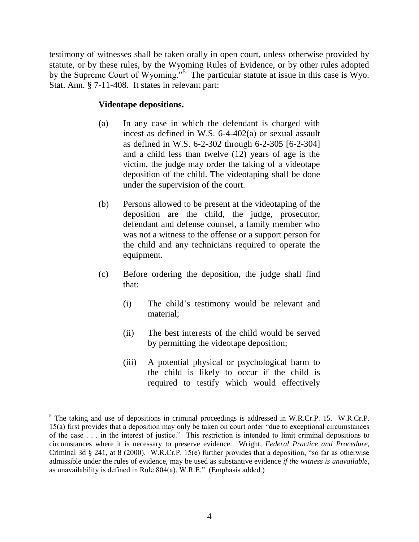testimony of witnesses shall be taken orally in open court, unless otherwise provided by statute, or by these rules, by the Wyoming Rules of Evidence, or by other rules adopted by the Supreme Court of Wyoming."<sup>5</sup> The particular statute at issue in this case is Wyo. Stat. Ann. § 7-11-408. It states in relevant part:

### **Videotape depositions.**

 $\overline{a}$ 

- (a) In any case in which the defendant is charged with incest as defined in W.S. 6-4-402(a) or sexual assault as defined in W.S. 6-2-302 through 6-2-305 [6-2-304] and a child less than twelve (12) years of age is the victim, the judge may order the taking of a videotape deposition of the child. The videotaping shall be done under the supervision of the court.
- (b) Persons allowed to be present at the videotaping of the deposition are the child, the judge, prosecutor, defendant and defense counsel, a family member who was not a witness to the offense or a support person for the child and any technicians required to operate the equipment.
- (c) Before ordering the deposition, the judge shall find that:
	- (i) The child's testimony would be relevant and material;
	- (ii) The best interests of the child would be served by permitting the videotape deposition;
	- (iii) A potential physical or psychological harm to the child is likely to occur if the child is required to testify which would effectively

<sup>&</sup>lt;sup>5</sup> The taking and use of depositions in criminal proceedings is addressed in W.R.Cr.P. 15. W.R.Cr.P. 15(a) first provides that a deposition may only be taken on court order "due to exceptional circumstances of the case . . . in the interest of justice." This restriction is intended to limit criminal depositions to circumstances where it is necessary to preserve evidence. Wright, *Federal Practice and Procedure*, Criminal 3d § 241, at 8 (2000). W.R.Cr.P. 15(e) further provides that a deposition, "so far as otherwise admissible under the rules of evidence, may be used as substantive evidence *if the witness is unavailable*, as unavailability is defined in Rule 804(a), W.R.E." (Emphasis added.)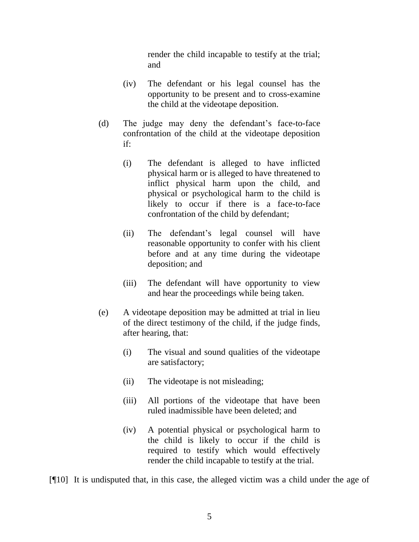render the child incapable to testify at the trial; and

- (iv) The defendant or his legal counsel has the opportunity to be present and to cross-examine the child at the videotape deposition.
- (d) The judge may deny the defendant's face-to-face confrontation of the child at the videotape deposition if:
	- (i) The defendant is alleged to have inflicted physical harm or is alleged to have threatened to inflict physical harm upon the child, and physical or psychological harm to the child is likely to occur if there is a face-to-face confrontation of the child by defendant;
	- (ii) The defendant's legal counsel will have reasonable opportunity to confer with his client before and at any time during the videotape deposition; and
	- (iii) The defendant will have opportunity to view and hear the proceedings while being taken.
- (e) A videotape deposition may be admitted at trial in lieu of the direct testimony of the child, if the judge finds, after hearing, that:
	- (i) The visual and sound qualities of the videotape are satisfactory;
	- (ii) The videotape is not misleading;
	- (iii) All portions of the videotape that have been ruled inadmissible have been deleted; and
	- (iv) A potential physical or psychological harm to the child is likely to occur if the child is required to testify which would effectively render the child incapable to testify at the trial.

[¶10] It is undisputed that, in this case, the alleged victim was a child under the age of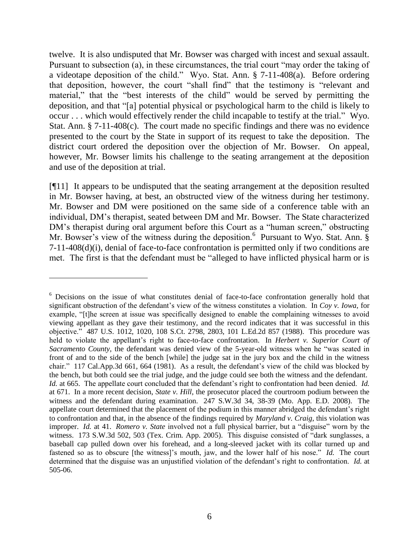twelve. It is also undisputed that Mr. Bowser was charged with incest and sexual assault. Pursuant to subsection (a), in these circumstances, the trial court "may order the taking of a videotape deposition of the child." Wyo. Stat. Ann. § 7-11-408(a). Before ordering that deposition, however, the court "shall find" that the testimony is "relevant and material," that the "best interests of the child" would be served by permitting the deposition, and that "[a] potential physical or psychological harm to the child is likely to occur . . . which would effectively render the child incapable to testify at the trial." Wyo. Stat. Ann. § 7-11-408(c). The court made no specific findings and there was no evidence presented to the court by the State in support of its request to take the deposition. The district court ordered the deposition over the objection of Mr. Bowser. On appeal, however, Mr. Bowser limits his challenge to the seating arrangement at the deposition and use of the deposition at trial.

[¶11] It appears to be undisputed that the seating arrangement at the deposition resulted in Mr. Bowser having, at best, an obstructed view of the witness during her testimony. Mr. Bowser and DM were positioned on the same side of a conference table with an individual, DM's therapist, seated between DM and Mr. Bowser. The State characterized DM's therapist during oral argument before this Court as a "human screen," obstructing Mr. Bowser's view of the witness during the deposition.<sup>6</sup> Pursuant to Wyo. Stat. Ann. § 7-11-408(d)(i), denial of face-to-face confrontation is permitted only if two conditions are met. The first is that the defendant must be "alleged to have inflicted physical harm or is

<sup>&</sup>lt;sup>6</sup> Decisions on the issue of what constitutes denial of face-to-face confrontation generally hold that significant obstruction of the defendant's view of the witness constitutes a violation. In *Coy v. Iowa*, for example, "[t]he screen at issue was specifically designed to enable the complaining witnesses to avoid viewing appellant as they gave their testimony, and the record indicates that it was successful in this objective." 487 U.S. 1012, 1020, 108 S.Ct. 2798, 2803, 101 L.Ed.2d 857 (1988). This procedure was held to violate the appellant's right to face-to-face confrontation. In *Herbert v. Superior Court of Sacramento County*, the defendant was denied view of the 5-year-old witness when he "was seated in front of and to the side of the bench [while] the judge sat in the jury box and the child in the witness chair." 117 Cal.App.3d 661, 664 (1981). As a result, the defendant's view of the child was blocked by the bench, but both could see the trial judge, and the judge could see both the witness and the defendant. *Id.* at 665. The appellate court concluded that the defendant's right to confrontation had been denied. *Id.* at 671. In a more recent decision, *State v. Hill*, the prosecutor placed the courtroom podium between the witness and the defendant during examination. 247 S.W.3d 34, 38-39 (Mo. App. E.D. 2008). The appellate court determined that the placement of the podium in this manner abridged the defendant's right to confrontation and that, in the absence of the findings required by *Maryland v. Craig*, this violation was improper. *Id.* at 41. *Romero v. State* involved not a full physical barrier, but a "disguise" worn by the witness. 173 S.W.3d 502, 503 (Tex. Crim. App. 2005). This disguise consisted of "dark sunglasses, a baseball cap pulled down over his forehead, and a long-sleeved jacket with its collar turned up and fastened so as to obscure [the witness]'s mouth, jaw, and the lower half of his nose." *Id.* The court determined that the disguise was an unjustified violation of the defendant's right to confrontation. *Id.* at 505-06.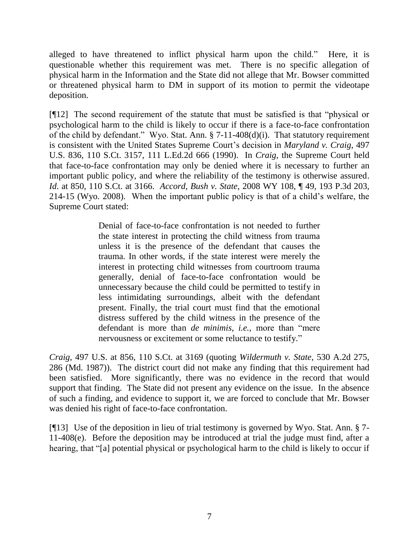alleged to have threatened to inflict physical harm upon the child." Here, it is questionable whether this requirement was met. There is no specific allegation of physical harm in the Information and the State did not allege that Mr. Bowser committed or threatened physical harm to DM in support of its motion to permit the videotape deposition.

[¶12] The second requirement of the statute that must be satisfied is that "physical or psychological harm to the child is likely to occur if there is a face-to-face confrontation of the child by defendant." Wyo. Stat. Ann. § 7-11-408(d)(i). That statutory requirement is consistent with the United States Supreme Court's decision in *Maryland v. Craig*, 497 U.S. 836, 110 S.Ct. 3157, 111 L.Ed.2d 666 (1990). In *Craig*, the Supreme Court held that face-to-face confrontation may only be denied where it is necessary to further an important public policy, and where the reliability of the testimony is otherwise assured. *Id*. at 850, 110 S.Ct. at 3166. *Accord*, *Bush v. State*, 2008 WY 108, ¶ 49, 193 P.3d 203, 214-15 (Wyo. 2008). When the important public policy is that of a child's welfare, the Supreme Court stated:

> Denial of face-to-face confrontation is not needed to further the state interest in protecting the child witness from trauma unless it is the presence of the defendant that causes the trauma. In other words, if the state interest were merely the interest in protecting child witnesses from courtroom trauma generally, denial of face-to-face confrontation would be unnecessary because the child could be permitted to testify in less intimidating surroundings, albeit with the defendant present. Finally, the trial court must find that the emotional distress suffered by the child witness in the presence of the defendant is more than *de minimis*, *i.e.*, more than "mere nervousness or excitement or some reluctance to testify."

*Craig*, 497 U.S. at 856, 110 S.Ct. at 3169 (quoting *Wildermuth v. State*, 530 A.2d 275, 286 (Md. 1987)). The district court did not make any finding that this requirement had been satisfied. More significantly, there was no evidence in the record that would support that finding. The State did not present any evidence on the issue. In the absence of such a finding, and evidence to support it, we are forced to conclude that Mr. Bowser was denied his right of face-to-face confrontation.

[¶13] Use of the deposition in lieu of trial testimony is governed by Wyo. Stat. Ann. § 7- 11-408(e). Before the deposition may be introduced at trial the judge must find, after a hearing, that "[a] potential physical or psychological harm to the child is likely to occur if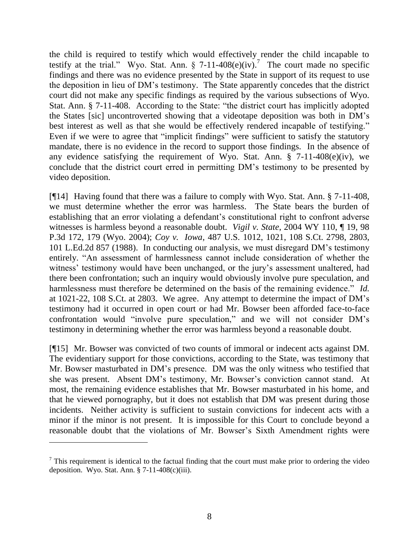the child is required to testify which would effectively render the child incapable to testify at the trial." Wyo. Stat. Ann.  $\S$  7-11-408(e)(iv).<sup>7</sup> The court made no specific findings and there was no evidence presented by the State in support of its request to use the deposition in lieu of DM's testimony. The State apparently concedes that the district court did not make any specific findings as required by the various subsections of Wyo. Stat. Ann. § 7-11-408. According to the State: "the district court has implicitly adopted the States [sic] uncontroverted showing that a videotape deposition was both in DM's best interest as well as that she would be effectively rendered incapable of testifying." Even if we were to agree that "implicit findings" were sufficient to satisfy the statutory mandate, there is no evidence in the record to support those findings. In the absence of any evidence satisfying the requirement of Wyo. Stat. Ann.  $\S$  7-11-408(e)(iv), we conclude that the district court erred in permitting DM's testimony to be presented by video deposition.

[¶14] Having found that there was a failure to comply with Wyo. Stat. Ann. § 7-11-408, we must determine whether the error was harmless. The State bears the burden of establishing that an error violating a defendant's constitutional right to confront adverse witnesses is harmless beyond a reasonable doubt. *Vigil v. State*, 2004 WY 110, ¶ 19, 98 P.3d 172, 179 (Wyo. 2004); *Coy v. Iowa*, 487 U.S. 1012, 1021, 108 S.Ct. 2798, 2803, 101 L.Ed.2d 857 (1988). In conducting our analysis, we must disregard DM's testimony entirely. "An assessment of harmlessness cannot include consideration of whether the witness' testimony would have been unchanged, or the jury's assessment unaltered, had there been confrontation; such an inquiry would obviously involve pure speculation, and harmlessness must therefore be determined on the basis of the remaining evidence." *Id.* at 1021-22, 108 S.Ct. at 2803. We agree. Any attempt to determine the impact of DM's testimony had it occurred in open court or had Mr. Bowser been afforded face-to-face confrontation would "involve pure speculation," and we will not consider DM's testimony in determining whether the error was harmless beyond a reasonable doubt.

[¶15] Mr. Bowser was convicted of two counts of immoral or indecent acts against DM. The evidentiary support for those convictions, according to the State, was testimony that Mr. Bowser masturbated in DM's presence. DM was the only witness who testified that she was present. Absent DM's testimony, Mr. Bowser's conviction cannot stand. At most, the remaining evidence establishes that Mr. Bowser masturbated in his home, and that he viewed pornography, but it does not establish that DM was present during those incidents. Neither activity is sufficient to sustain convictions for indecent acts with a minor if the minor is not present. It is impossible for this Court to conclude beyond a reasonable doubt that the violations of Mr. Bowser's Sixth Amendment rights were

 $<sup>7</sup>$  This requirement is identical to the factual finding that the court must make prior to ordering the video</sup> deposition. Wyo. Stat. Ann. § 7-11-408(c)(iii).